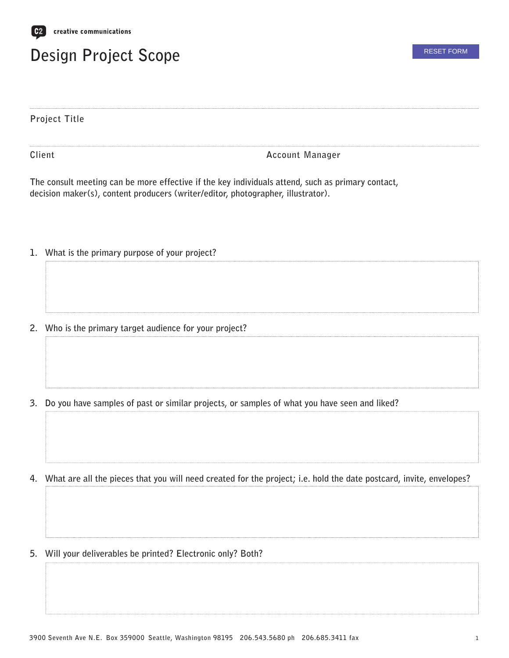

## **Design Project Scope**

**Project Title**

**Client**

**Account Manager**

**The consult meeting can be more effective if the key individuals attend, such as primary contact, decision maker(s), content producers (writer/editor, photographer, illustrator).**

- **1. What is the primary purpose of your project?**
- **2. Who is the primary target audience for your project?**
- **3. Do you have samples of past or similar projects, or samples of what you have seen and liked?**

**4. What are all the pieces that you will need created for the project; i.e. hold the date postcard, invite, envelopes?** 

**5. Will your deliverables be printed? Electronic only? Both?**